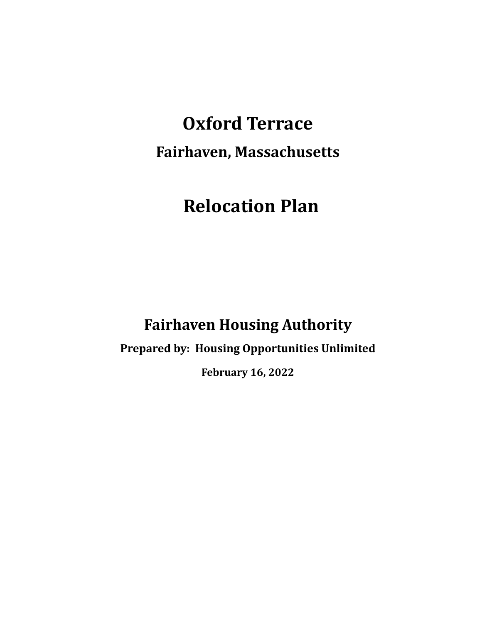# **Oxford Terrace**

**Fairhaven, Massachusetts**

# **Relocation Plan**

# **Fairhaven Housing Authority**

**Prepared by: Housing Opportunities Unlimited**

**February 16, 2022**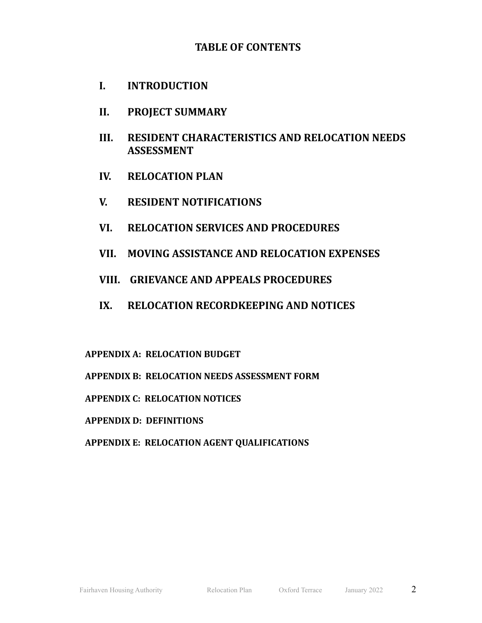### **TABLE OF CONTENTS**

- **I. INTRODUCTION**
- **II. PROJECT SUMMARY**
- **III. RESIDENT CHARACTERISTICS AND RELOCATION NEEDS ASSESSMENT**
- **IV. RELOCATION PLAN**
- **V. RESIDENT NOTIFICATIONS**
- **VI. RELOCATION SERVICES AND PROCEDURES**
- **VII. MOVING ASSISTANCE AND RELOCATION EXPENSES**
- **VIII. GRIEVANCE AND APPEALS PROCEDURES**
- **IX. RELOCATION RECORDKEEPING AND NOTICES**

#### **APPENDIX A: RELOCATION BUDGET**

- **APPENDIX B: RELOCATION NEEDS ASSESSMENT FORM**
- **APPENDIX C: RELOCATION NOTICES**
- **APPENDIX D: DEFINITIONS**
- **APPENDIX E: RELOCATION AGENT QUALIFICATIONS**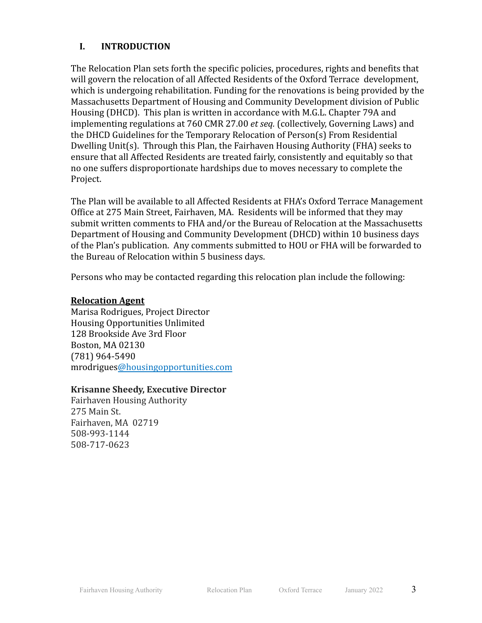#### **I. INTRODUCTION**

The Relocation Plan sets forth the specific policies, procedures, rights and benefits that will govern the relocation of all Affected Residents of the Oxford Terrace development, which is undergoing rehabilitation. Funding for the renovations is being provided by the Massachusetts Department of Housing and Community Development division of Public Housing (DHCD). This plan is written in accordance with M.G.L. Chapter 79A and implementing regulations at 760 CMR 27.00 *et seq.* (collectively, Governing Laws) and the DHCD Guidelines for the Temporary Relocation of Person(s) From Residential Dwelling Unit(s). Through this Plan, the Fairhaven Housing Authority (FHA) seeks to ensure that all Affected Residents are treated fairly, consistently and equitably so that no one suffers disproportionate hardships due to moves necessary to complete the Project.

The Plan will be available to all Affected Residents at FHA's Oxford Terrace Management Office at 275 Main Street, Fairhaven, MA. Residents will be informed that they may submit written comments to FHA and/or the Bureau of Relocation at the Massachusetts Department of Housing and Community Development (DHCD) within 10 business days of the Plan's publication. Any comments submitted to HOU or FHA will be forwarded to the Bureau of Relocation within 5 business days.

Persons who may be contacted regarding this relocation plan include the following:

#### **Relocation Agent**

Marisa Rodrigues, Project Director Housing Opportunities Unlimited 128 Brookside Ave 3rd Floor Boston, MA 02130 (781) 964-5490 mrodrigues@housingopportunities.com

#### **Krisanne Sheedy, Executive Director**

Fairhaven Housing Authority 275 Main St. Fairhaven, MA 02719 508-993-1144 508-717-0623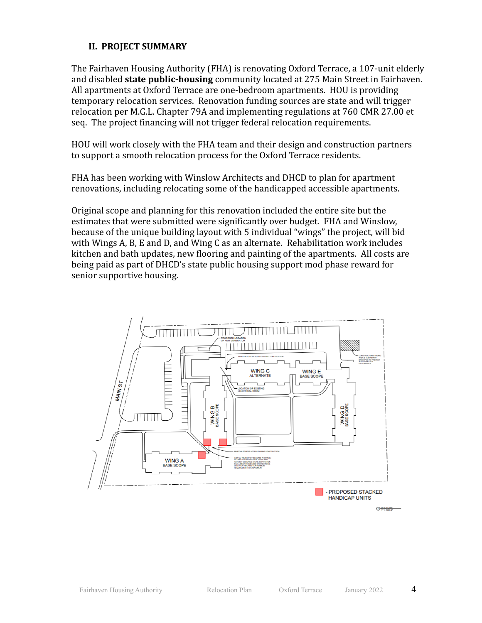#### **II. PROJECT SUMMARY**

The Fairhaven Housing Authority (FHA) is renovating Oxford Terrace, a 107-unit elderly and disabled **state public-housing** community located at 275 Main Street in Fairhaven. All apartments at Oxford Terrace are one-bedroom apartments. HOU is providing temporary relocation services. Renovation funding sources are state and will trigger relocation per M.G.L. Chapter 79A and implementing regulations at 760 CMR 27.00 et seq. The project financing will not trigger federal relocation requirements.

HOU will work closely with the FHA team and their design and construction partners to support a smooth relocation process for the Oxford Terrace residents.

FHA has been working with Winslow Architects and DHCD to plan for apartment renovations, including relocating some of the handicapped accessible apartments.

Original scope and planning for this renovation included the entire site but the estimates that were submitted were significantly over budget. FHA and Winslow, because of the unique building layout with 5 individual "wings" the project, will bid with Wings A, B, E and D, and Wing C as an alternate. Rehabilitation work includes kitchen and bath updates, new flooring and painting of the apartments. All costs are being paid as part of DHCD's state public housing support mod phase reward for senior supportive housing.

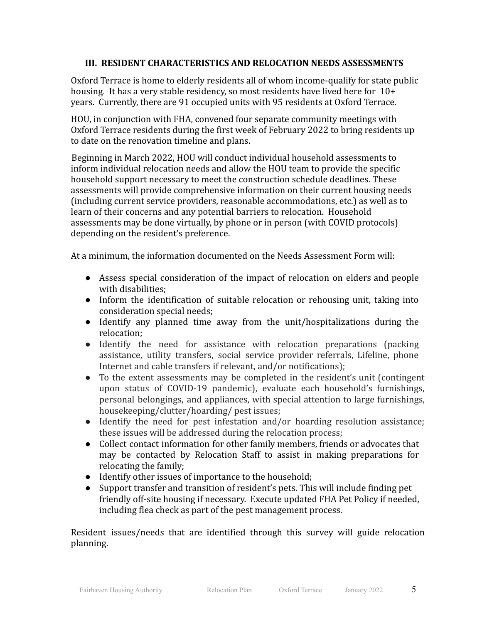#### **III. RESIDENT CHARACTERISTICS AND RELOCATION NEEDS ASSESSMENTS**

Oxford Terrace is home to elderly residents all of whom income-qualify for state public housing. It has a very stable residency, so most residents have lived here for 10+ years. Currently, there are 91 occupied units with 95 residents at Oxford Terrace.

HOU, in conjunction with FHA, convened four separate community meetings with Oxford Terrace residents during the first week of February 2022 to bring residents up to date on the renovation timeline and plans.

Beginning in March 2022, HOU will conduct individual household assessments to inform individual relocation needs and allow the HOU team to provide the specific household support necessary to meet the construction schedule deadlines. These assessments will provide comprehensive information on their current housing needs (including current service providers, reasonable accommodations, etc.) as well as to learn of their concerns and any potential barriers to relocation. Household assessments may be done virtually, by phone or in person (with COVID protocols) depending on the resident's preference.

At a minimum, the information documented on the Needs Assessment Form will:

- Assess special consideration of the impact of relocation on elders and people with disabilities;
- Inform the identification of suitable relocation or rehousing unit, taking into consideration special needs;
- Identify any planned time away from the unit/hospitalizations during the relocation;
- Identify the need for assistance with relocation preparations (packing assistance, utility transfers, social service provider referrals, Lifeline, phone Internet and cable transfers if relevant, and/or notifications);
- *●* To the extent assessments may be completed in the resident's unit (contingent upon status of COVID-19 pandemic), evaluate each household's furnishings, personal belongings, and appliances, with special attention to large furnishings, housekeeping/clutter/hoarding/ pest issues;
- *●* Identify the need for pest infestation and/or hoarding resolution assistance; these issues will be addressed during the relocation process;
- Collect contact information for other family members, friends or advocates that may be contacted by Relocation Staff to assist in making preparations for relocating the family;
- Identify other issues of importance to the household;
- Support transfer and transition of resident's pets. This will include finding pet friendly off-site housing if necessary. Execute updated FHA Pet Policy if needed, including flea check as part of the pest management process.

Resident issues/needs that are identified through this survey will guide relocation planning.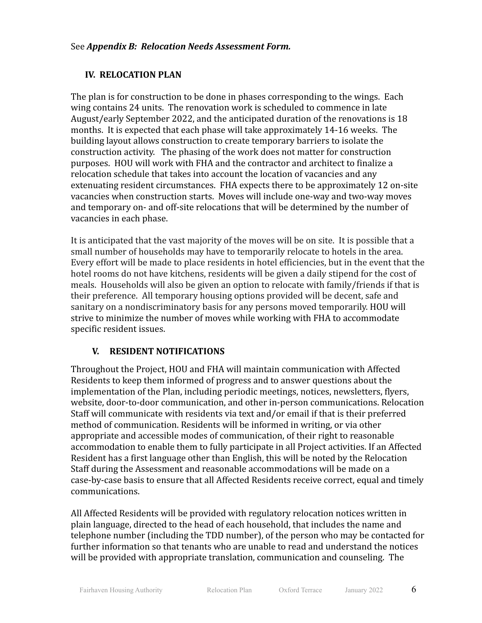#### **IV. RELOCATION PLAN**

The plan is for construction to be done in phases corresponding to the wings. Each wing contains 24 units. The renovation work is scheduled to commence in late August/early September 2022, and the anticipated duration of the renovations is 18 months. It is expected that each phase will take approximately 14-16 weeks. The building layout allows construction to create temporary barriers to isolate the construction activity. The phasing of the work does not matter for construction purposes. HOU will work with FHA and the contractor and architect to finalize a relocation schedule that takes into account the location of vacancies and any extenuating resident circumstances. FHA expects there to be approximately 12 on-site vacancies when construction starts. Moves will include one-way and two-way moves and temporary on- and off-site relocations that will be determined by the number of vacancies in each phase.

It is anticipated that the vast majority of the moves will be on site. It is possible that a small number of households may have to temporarily relocate to hotels in the area. Every effort will be made to place residents in hotel efficiencies, but in the event that the hotel rooms do not have kitchens, residents will be given a daily stipend for the cost of meals. Households will also be given an option to relocate with family/friends if that is their preference. All temporary housing options provided will be decent, safe and sanitary on a nondiscriminatory basis for any persons moved temporarily. HOU will strive to minimize the number of moves while working with FHA to accommodate specific resident issues.

#### **V. RESIDENT NOTIFICATIONS**

Throughout the Project, HOU and FHA will maintain communication with Affected Residents to keep them informed of progress and to answer questions about the implementation of the Plan, including periodic meetings, notices, newsletters, flyers, website, door-to-door communication, and other in-person communications. Relocation Staff will communicate with residents via text and/or email if that is their preferred method of communication. Residents will be informed in writing, or via other appropriate and accessible modes of communication, of their right to reasonable accommodation to enable them to fully participate in all Project activities. If an Affected Resident has a first language other than English, this will be noted by the Relocation Staff during the Assessment and reasonable accommodations will be made on a case-by-case basis to ensure that all Affected Residents receive correct, equal and timely communications.

All Affected Residents will be provided with regulatory relocation notices written in plain language, directed to the head of each household, that includes the name and telephone number (including the TDD number), of the person who may be contacted for further information so that tenants who are unable to read and understand the notices will be provided with appropriate translation, communication and counseling. The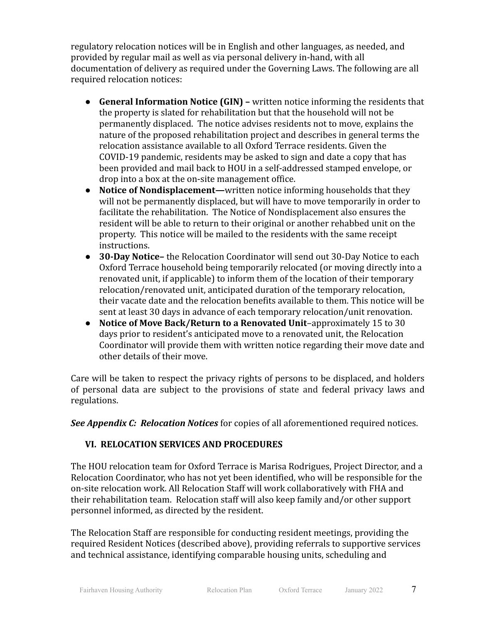regulatory relocation notices will be in English and other languages, as needed, and provided by regular mail as well as via personal delivery in-hand, with all documentation of delivery as required under the Governing Laws. The following are all required relocation notices:

- **General Information Notice (GIN) –** written notice informing the residents that the property is slated for rehabilitation but that the household will not be permanently displaced. The notice advises residents not to move, explains the nature of the proposed rehabilitation project and describes in general terms the relocation assistance available to all Oxford Terrace residents. Given the COVID-19 pandemic, residents may be asked to sign and date a copy that has been provided and mail back to HOU in a self-addressed stamped envelope, or drop into a box at the on-site management office.
- **Notice of Nondisplacement—**written notice informing households that they will not be permanently displaced, but will have to move temporarily in order to facilitate the rehabilitation. The Notice of Nondisplacement also ensures the resident will be able to return to their original or another rehabbed unit on the property. This notice will be mailed to the residents with the same receipt instructions.
- **30-Day Notice–** the Relocation Coordinator will send out 30-Day Notice to each Oxford Terrace household being temporarily relocated (or moving directly into a renovated unit, if applicable) to inform them of the location of their temporary relocation/renovated unit, anticipated duration of the temporary relocation, their vacate date and the relocation benefits available to them. This notice will be sent at least 30 days in advance of each temporary relocation/unit renovation.
- **● Notice of Move Back/Return to a Renovated Unit**–approximately 15 to 30 days prior to resident's anticipated move to a renovated unit, the Relocation Coordinator will provide them with written notice regarding their move date and other details of their move.

Care will be taken to respect the privacy rights of persons to be displaced, and holders of personal data are subject to the provisions of state and federal privacy laws and regulations.

*See Appendix C: Relocation Notices* for copies of all aforementioned required notices.

#### **VI. RELOCATION SERVICES AND PROCEDURES**

The HOU relocation team for Oxford Terrace is Marisa Rodrigues, Project Director, and a Relocation Coordinator, who has not yet been identified, who will be responsible for the on-site relocation work. All Relocation Staff will work collaboratively with FHA and their rehabilitation team. Relocation staff will also keep family and/or other support personnel informed, as directed by the resident.

The Relocation Staff are responsible for conducting resident meetings, providing the required Resident Notices (described above), providing referrals to supportive services and technical assistance, identifying comparable housing units, scheduling and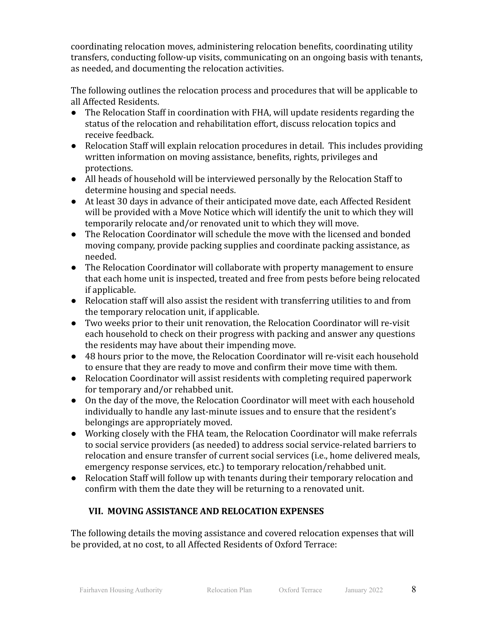coordinating relocation moves, administering relocation benefits, coordinating utility transfers, conducting follow-up visits, communicating on an ongoing basis with tenants, as needed, and documenting the relocation activities.

The following outlines the relocation process and procedures that will be applicable to all Affected Residents.

- The Relocation Staff in coordination with FHA, will update residents regarding the status of the relocation and rehabilitation effort, discuss relocation topics and receive feedback.
- Relocation Staff will explain relocation procedures in detail. This includes providing written information on moving assistance, benefits, rights, privileges and protections.
- All heads of household will be interviewed personally by the Relocation Staff to determine housing and special needs.
- At least 30 days in advance of their anticipated move date, each Affected Resident will be provided with a Move Notice which will identify the unit to which they will temporarily relocate and/or renovated unit to which they will move.
- The Relocation Coordinator will schedule the move with the licensed and bonded moving company, provide packing supplies and coordinate packing assistance, as needed.
- The Relocation Coordinator will collaborate with property management to ensure that each home unit is inspected, treated and free from pests before being relocated if applicable.
- Relocation staff will also assist the resident with transferring utilities to and from the temporary relocation unit, if applicable.
- Two weeks prior to their unit renovation, the Relocation Coordinator will re-visit each household to check on their progress with packing and answer any questions the residents may have about their impending move.
- 48 hours prior to the move, the Relocation Coordinator will re-visit each household to ensure that they are ready to move and confirm their move time with them.
- Relocation Coordinator will assist residents with completing required paperwork for temporary and/or rehabbed unit.
- On the day of the move, the Relocation Coordinator will meet with each household individually to handle any last-minute issues and to ensure that the resident's belongings are appropriately moved.
- Working closely with the FHA team, the Relocation Coordinator will make referrals to social service providers (as needed) to address social service-related barriers to relocation and ensure transfer of current social services (i.e., home delivered meals, emergency response services, etc.) to temporary relocation/rehabbed unit.
- Relocation Staff will follow up with tenants during their temporary relocation and confirm with them the date they will be returning to a renovated unit.

#### **VII. MOVING ASSISTANCE AND RELOCATION EXPENSES**

The following details the moving assistance and covered relocation expenses that will be provided, at no cost, to all Affected Residents of Oxford Terrace: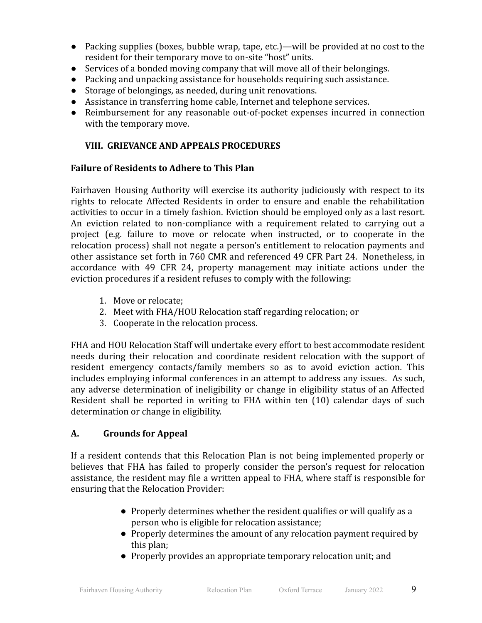- Packing supplies (boxes, bubble wrap, tape, etc.)—will be provided at no cost to the resident for their temporary move to on-site "host" units.
- Services of a bonded moving company that will move all of their belongings.
- Packing and unpacking assistance for households requiring such assistance.
- Storage of belongings, as needed, during unit renovations.
- Assistance in transferring home cable, Internet and telephone services.
- Reimbursement for any reasonable out-of-pocket expenses incurred in connection with the temporary move.

#### **VIII. GRIEVANCE AND APPEALS PROCEDURES**

#### **Failure of Residents to Adhere to This Plan**

Fairhaven Housing Authority will exercise its authority judiciously with respect to its rights to relocate Affected Residents in order to ensure and enable the rehabilitation activities to occur in a timely fashion. Eviction should be employed only as a last resort. An eviction related to non-compliance with a requirement related to carrying out a project (e.g. failure to move or relocate when instructed, or to cooperate in the relocation process) shall not negate a person's entitlement to relocation payments and other assistance set forth in 760 CMR and referenced 49 CFR Part 24. Nonetheless, in accordance with 49 CFR 24, property management may initiate actions under the eviction procedures if a resident refuses to comply with the following:

- 1. Move or relocate;
- 2. Meet with FHA/HOU Relocation staff regarding relocation; or
- 3. Cooperate in the relocation process.

FHA and HOU Relocation Staff will undertake every effort to best accommodate resident needs during their relocation and coordinate resident relocation with the support of resident emergency contacts/family members so as to avoid eviction action. This includes employing informal conferences in an attempt to address any issues. As such, any adverse determination of ineligibility or change in eligibility status of an Affected Resident shall be reported in writing to FHA within ten (10) calendar days of such determination or change in eligibility.

#### **A. Grounds for Appeal**

If a resident contends that this Relocation Plan is not being implemented properly or believes that FHA has failed to properly consider the person's request for relocation assistance, the resident may file a written appeal to FHA, where staff is responsible for ensuring that the Relocation Provider:

- Properly determines whether the resident qualifies or will qualify as a person who is eligible for relocation assistance;
- Properly determines the amount of any relocation payment required by this plan;
- Properly provides an appropriate temporary relocation unit; and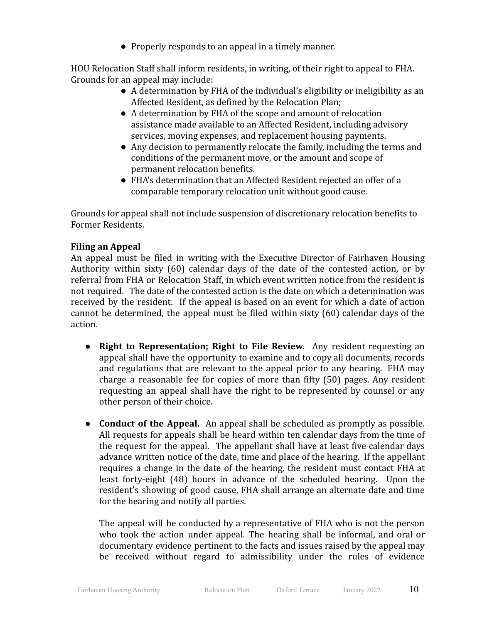● Properly responds to an appeal in a timely manner.

HOU Relocation Staff shall inform residents, in writing, of their right to appeal to FHA. Grounds for an appeal may include:

- A determination by FHA of the individual's eligibility or ineligibility as an Affected Resident, as defined by the Relocation Plan;
- A determination by FHA of the scope and amount of relocation assistance made available to an Affected Resident, including advisory services, moving expenses, and replacement housing payments.
- Any decision to permanently relocate the family, including the terms and conditions of the permanent move, or the amount and scope of permanent relocation benefits.
- FHA's determination that an Affected Resident rejected an offer of a comparable temporary relocation unit without good cause.

Grounds for appeal shall not include suspension of discretionary relocation benefits to Former Residents.

#### **Filing an Appeal**

An appeal must be filed in writing with the Executive Director of Fairhaven Housing Authority within sixty (60) calendar days of the date of the contested action, or by referral from FHA or Relocation Staff, in which event written notice from the resident is not required. The date of the contested action is the date on which a determination was received by the resident. If the appeal is based on an event for which a date of action cannot be determined, the appeal must be filed within sixty (60) calendar days of the action.

- **● Right to Representation; Right to File Review.** Any resident requesting an appeal shall have the opportunity to examine and to copy all documents, records and regulations that are relevant to the appeal prior to any hearing. FHA may charge a reasonable fee for copies of more than fifty (50) pages. Any resident requesting an appeal shall have the right to be represented by counsel or any other person of their choice.
- **● Conduct of the Appeal.** An appeal shall be scheduled as promptly as possible. All requests for appeals shall be heard within ten calendar days from the time of the request for the appeal. The appellant shall have at least five calendar days advance written notice of the date, time and place of the hearing. If the appellant requires a change in the date of the hearing, the resident must contact FHA at least forty-eight (48) hours in advance of the scheduled hearing. Upon the resident's showing of good cause, FHA shall arrange an alternate date and time for the hearing and notify all parties.

The appeal will be conducted by a representative of FHA who is not the person who took the action under appeal. The hearing shall be informal, and oral or documentary evidence pertinent to the facts and issues raised by the appeal may be received without regard to admissibility under the rules of evidence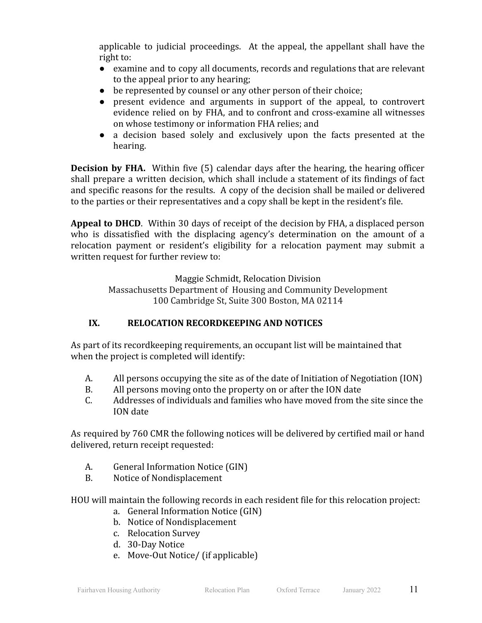applicable to judicial proceedings. At the appeal, the appellant shall have the right to:

- examine and to copy all documents, records and regulations that are relevant to the appeal prior to any hearing;
- be represented by counsel or any other person of their choice;
- present evidence and arguments in support of the appeal, to controvert evidence relied on by FHA, and to confront and cross-examine all witnesses on whose testimony or information FHA relies; and
- a decision based solely and exclusively upon the facts presented at the hearing.

**Decision by FHA.** Within five (5) calendar days after the hearing, the hearing officer shall prepare a written decision, which shall include a statement of its findings of fact and specific reasons for the results. A copy of the decision shall be mailed or delivered to the parties or their representatives and a copy shall be kept in the resident's file.

**Appeal to DHCD**. Within 30 days of receipt of the decision by FHA, a displaced person who is dissatisfied with the displacing agency's determination on the amount of a relocation payment or resident's eligibility for a relocation payment may submit a written request for further review to:

Maggie Schmidt, Relocation Division

Massachusetts Department of Housing and Community Development 100 Cambridge St, Suite 300 Boston, MA 02114

#### **IX. RELOCATION RECORDKEEPING AND NOTICES**

As part of its recordkeeping requirements, an occupant list will be maintained that when the project is completed will identify:

- A. All persons occupying the site as of the date of Initiation of Negotiation (ION)
- B. All persons moving onto the property on or after the ION date
- C. Addresses of individuals and families who have moved from the site since the ION date

As required by 760 CMR the following notices will be delivered by certified mail or hand delivered, return receipt requested:

- A. General Information Notice (GIN)
- B. Notice of Nondisplacement

HOU will maintain the following records in each resident file for this relocation project:

- a. General Information Notice (GIN)
- b. Notice of Nondisplacement
- c. Relocation Survey
- d. 30-Day Notice
- e. Move-Out Notice/ (if applicable)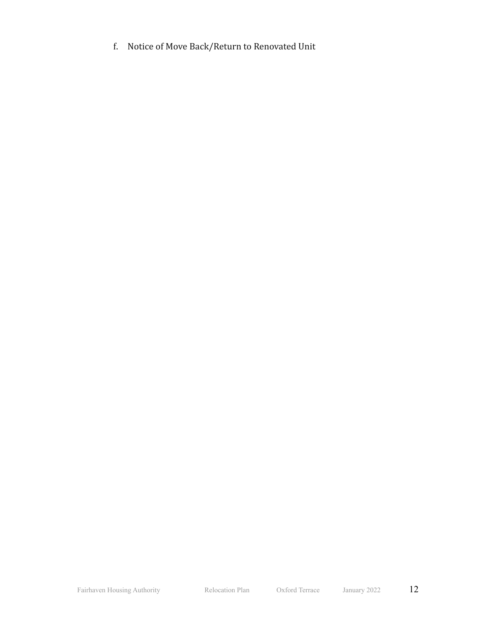f. Notice of Move Back/Return to Renovated Unit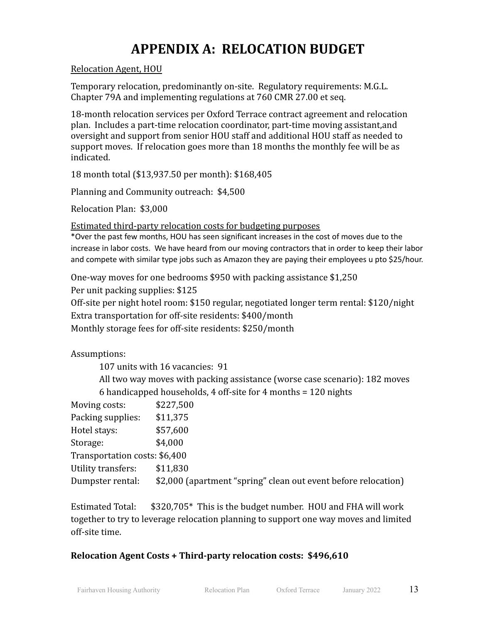# **APPENDIX A: RELOCATION BUDGET**

Relocation Agent, HOU

Temporary relocation, predominantly on-site. Regulatory requirements: M.G.L. Chapter 79A and implementing regulations at 760 CMR 27.00 et seq.

18-month relocation services per Oxford Terrace contract agreement and relocation plan. Includes a part-time relocation coordinator, part-time moving assistant,and oversight and support from senior HOU staff and additional HOU staff as needed to support moves. If relocation goes more than 18 months the monthly fee will be as indicated.

18 month total (\$13,937.50 per month): \$168,405

Planning and Community outreach: \$4,500

Relocation Plan: \$3,000

Estimated third-party relocation costs for budgeting purposes

\*Over the past few months, HOU has seen significant increases in the cost of moves due to the increase in labor costs. We have heard from our moving contractors that in order to keep their labor and compete with similar type jobs such as Amazon they are paying their employees u pto \$25/hour.

One-way moves for one bedrooms \$950 with packing assistance \$1,250 Per unit packing supplies: \$125

Off-site per night hotel room: \$150 regular, negotiated longer term rental: \$120/night Extra transportation for off-site residents: \$400/month Monthly storage fees for off-site residents: \$250/month

Assumptions:

107 units with 16 vacancies: 91 All two way moves with packing assistance (worse case scenario): 182 moves 6 handicapped households, 4 off-site for 4 months = 120 nights

| Moving costs:                 | \$227,500                                                      |
|-------------------------------|----------------------------------------------------------------|
| Packing supplies:             | \$11,375                                                       |
| Hotel stays:                  | \$57,600                                                       |
| Storage:                      | \$4,000                                                        |
| Transportation costs: \$6,400 |                                                                |
| Utility transfers:            | \$11,830                                                       |
| Dumpster rental:              | \$2,000 (apartment "spring" clean out event before relocation) |

Estimated Total: \$320,705\* This is the budget number. HOU and FHA will work together to try to leverage relocation planning to support one way moves and limited off-site time.

#### **Relocation Agent Costs + Third-party relocation costs: \$496,610**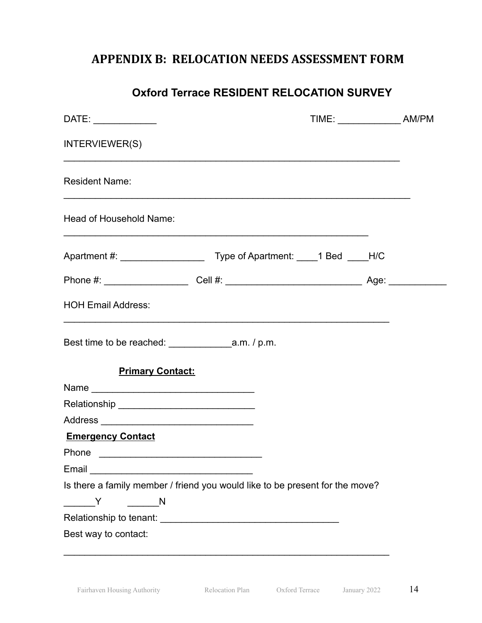### **APPENDIX B: RELOCATION NEEDS ASSESSMENT FORM**

### **Oxford Terrace RESIDENT RELOCATION SURVEY**

|                                                                              | TIME: _________________ AM/PM |  |
|------------------------------------------------------------------------------|-------------------------------|--|
| INTERVIEWER(S)                                                               |                               |  |
| <b>Resident Name:</b>                                                        |                               |  |
| Head of Household Name:                                                      |                               |  |
|                                                                              |                               |  |
|                                                                              |                               |  |
| <b>HOH Email Address:</b>                                                    |                               |  |
|                                                                              |                               |  |
| <b>Primary Contact:</b>                                                      |                               |  |
| Name                                                                         |                               |  |
|                                                                              |                               |  |
|                                                                              |                               |  |
| <b>Emergency Contact</b>                                                     |                               |  |
|                                                                              |                               |  |
|                                                                              |                               |  |
| Is there a family member / friend you would like to be present for the move? |                               |  |
| $\frac{1}{1}$<br><b>N</b>                                                    |                               |  |
|                                                                              |                               |  |
| Best way to contact:                                                         |                               |  |
|                                                                              |                               |  |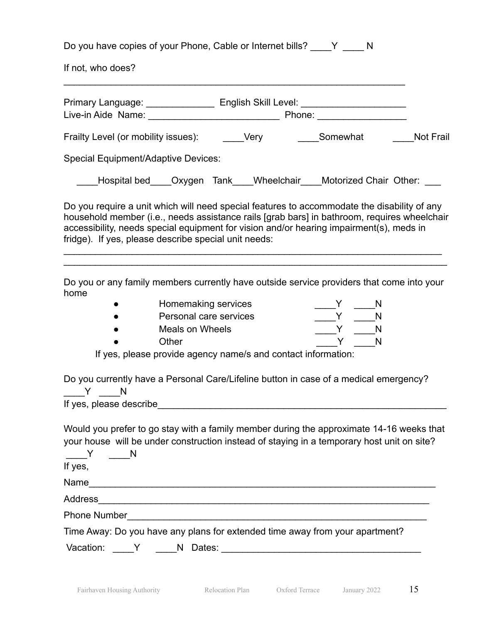Do you have copies of your Phone, Cable or Internet bills? \_\_\_\_Y \_\_\_\_ N

 $\mathcal{L}_\text{max} = \mathcal{L}_\text{max} = \mathcal{L}_\text{max} = \mathcal{L}_\text{max} = \mathcal{L}_\text{max} = \mathcal{L}_\text{max} = \mathcal{L}_\text{max} = \mathcal{L}_\text{max} = \mathcal{L}_\text{max} = \mathcal{L}_\text{max} = \mathcal{L}_\text{max} = \mathcal{L}_\text{max} = \mathcal{L}_\text{max} = \mathcal{L}_\text{max} = \mathcal{L}_\text{max} = \mathcal{L}_\text{max} = \mathcal{L}_\text{max} = \mathcal{L}_\text{max} = \mathcal{$ 

If not, who does?

| Primary Language: ______________<br>Live-in Aide Name:                                                                                                                                                                                                                                                                                        |  | Phone:   |           |
|-----------------------------------------------------------------------------------------------------------------------------------------------------------------------------------------------------------------------------------------------------------------------------------------------------------------------------------------------|--|----------|-----------|
| Frailty Level (or mobility issues): Very                                                                                                                                                                                                                                                                                                      |  | Somewhat | Not Frail |
| Special Equipment/Adaptive Devices:                                                                                                                                                                                                                                                                                                           |  |          |           |
| Hospital bed Oxygen Tank Wheelchair Motorized Chair Other:                                                                                                                                                                                                                                                                                    |  |          |           |
| Do you require a unit which will need special features to accommodate the disability of any<br>household member (i.e., needs assistance rails [grab bars] in bathroom, requires wheelchair<br>accessibility, needs special equipment for vision and/or hearing impairment(s), meds in<br>fridge). If yes, please describe special unit needs: |  |          |           |

Do you or any family members currently have outside service providers that come into your home

| Homemaking services    |  |
|------------------------|--|
| Personal care services |  |
| <b>Meals on Wheels</b> |  |
| Other                  |  |
|                        |  |

If yes, please provide agency name/s and contact information:

Do you currently have a Personal Care/Lifeline button in case of a medical emergency?  $Y$  N If yes, please describe

Would you prefer to go stay with a family member during the approximate 14-16 weeks that your house will be under construction instead of staying in a temporary host unit on site?

| If yes,                                                                      |  |
|------------------------------------------------------------------------------|--|
| Name                                                                         |  |
| Address                                                                      |  |
| <b>Phone Number</b>                                                          |  |
| Time Away: Do you have any plans for extended time away from your apartment? |  |
| Vacation:<br>Dates:<br><b>N</b>                                              |  |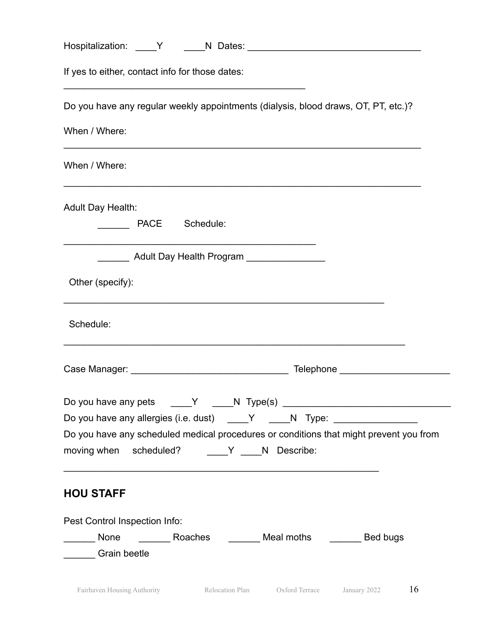| If yes to either, contact info for those dates:                                                                                                                                                                                      |
|--------------------------------------------------------------------------------------------------------------------------------------------------------------------------------------------------------------------------------------|
| Do you have any regular weekly appointments (dialysis, blood draws, OT, PT, etc.)?                                                                                                                                                   |
| When / Where:                                                                                                                                                                                                                        |
| When / Where:                                                                                                                                                                                                                        |
| <b>Adult Day Health:</b><br>PACE Schedule:                                                                                                                                                                                           |
| Adult Day Health Program _______________                                                                                                                                                                                             |
| Other (specify):                                                                                                                                                                                                                     |
| Schedule:                                                                                                                                                                                                                            |
| Telephone <b>The Contract Contract Contract Contract Contract Contract Contract Contract Contract Contract Contract Contract Contract Contract Contract Contract Contract Contract Contract Contract Contract Contract Contract </b> |
|                                                                                                                                                                                                                                      |
| Do you have any allergies (i.e. dust) _____Y _____N Type: ______________________                                                                                                                                                     |
| Do you have any scheduled medical procedures or conditions that might prevent you from<br>moving when scheduled? _____Y ____N Describe:                                                                                              |
| <b>HOU STAFF</b>                                                                                                                                                                                                                     |
| Pest Control Inspection Info:                                                                                                                                                                                                        |
| ________ None __________ Roaches _________ Meal moths ________ Bed bugs                                                                                                                                                              |
| Crain beetle                                                                                                                                                                                                                         |
|                                                                                                                                                                                                                                      |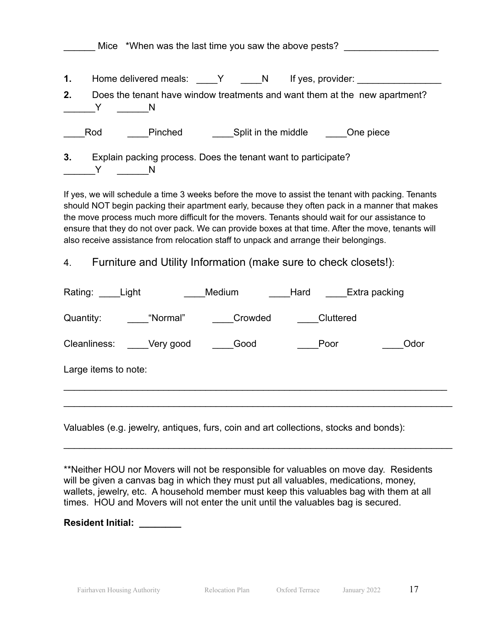|    | Mice *When was the last time you saw the above pests?                      |
|----|----------------------------------------------------------------------------|
| 1. | Home delivered meals: _____Y ______N<br>If yes, provider:                  |
| 2. | Does the tenant have window treatments and want them at the new apartment? |
|    | Split in the middle Che piece<br>Pinched<br>Rod                            |
| 3. | Explain packing process. Does the tenant want to participate?              |

If yes, we will schedule a time 3 weeks before the move to assist the tenant with packing. Tenants should NOT begin packing their apartment early, because they often pack in a manner that makes the move process much more difficult for the movers. Tenants should wait for our assistance to ensure that they do not over pack. We can provide boxes at that time. After the move, tenants will also receive assistance from relocation staff to unpack and arrange their belongings.

4. Furniture and Utility Information (make sure to check closets!):

| Rating: _____Light   |           | Medium  | Hard      | Extra packing |
|----------------------|-----------|---------|-----------|---------------|
| Quantity:            | "Normal"  | Crowded | Cluttered |               |
| Cleanliness:         | Very good | Good    | Poor      | Odor          |
| Large items to note: |           |         |           |               |
|                      |           |         |           |               |

Valuables (e.g. jewelry, antiques, furs, coin and art collections, stocks and bonds):

\*\*Neither HOU nor Movers will not be responsible for valuables on move day. Residents will be given a canvas bag in which they must put all valuables, medications, money, wallets, jewelry, etc. A household member must keep this valuables bag with them at all times. HOU and Movers will not enter the unit until the valuables bag is secured.

\_\_\_\_\_\_\_\_\_\_\_\_\_\_\_\_\_\_\_\_\_\_\_\_\_\_\_\_\_\_\_\_\_\_\_\_\_\_\_\_\_\_\_\_\_\_\_\_\_\_\_\_\_\_\_\_\_\_\_\_\_\_\_\_\_\_\_\_\_\_\_\_\_\_

**Resident Initial: \_\_\_\_\_\_\_\_**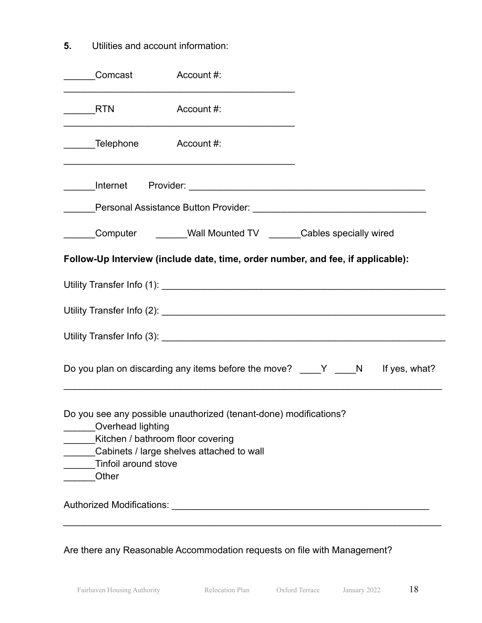**5.** Utilities and account information:

| Comcast                                                                                                                                                                                                   | Account #:                                                                                                      |  |  |
|-----------------------------------------------------------------------------------------------------------------------------------------------------------------------------------------------------------|-----------------------------------------------------------------------------------------------------------------|--|--|
| <b>RTN</b>                                                                                                                                                                                                | Account #:                                                                                                      |  |  |
| Telephone Account #:                                                                                                                                                                                      |                                                                                                                 |  |  |
|                                                                                                                                                                                                           |                                                                                                                 |  |  |
|                                                                                                                                                                                                           |                                                                                                                 |  |  |
|                                                                                                                                                                                                           |                                                                                                                 |  |  |
| Follow-Up Interview (include date, time, order number, and fee, if applicable):                                                                                                                           |                                                                                                                 |  |  |
|                                                                                                                                                                                                           |                                                                                                                 |  |  |
|                                                                                                                                                                                                           |                                                                                                                 |  |  |
|                                                                                                                                                                                                           |                                                                                                                 |  |  |
| Do you plan on discarding any items before the move? ____Y ____N If yes, what?                                                                                                                            |                                                                                                                 |  |  |
| Do you see any possible unauthorized (tenant-done) modifications?<br>Overhead lighting<br>Kitchen / bathroom floor covering<br>Cabinets / large shelves attached to wall<br>Tinfoil around stove<br>Other |                                                                                                                 |  |  |
|                                                                                                                                                                                                           | Authorized Modifications: National Authorization of the Authorization of the Authorization of the Authorization |  |  |

Are there any Reasonable Accommodation requests on file with Management?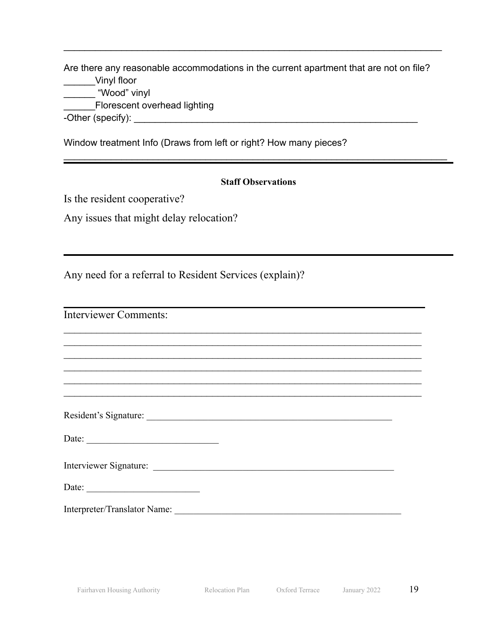Are there any reasonable accommodations in the current apartment that are not on file? \_\_\_\_\_\_Vinyl floor \_\_\_\_\_\_ "Wood" vinyl Florescent overhead lighting -Other (specify): \_\_\_\_\_\_\_\_\_\_\_\_\_\_\_\_\_\_\_\_\_\_\_\_\_\_\_\_\_\_\_\_\_\_\_\_\_\_\_\_\_\_\_\_\_\_\_\_\_\_\_\_\_\_

\_\_\_\_\_\_\_\_\_\_\_\_\_\_\_\_\_\_\_\_\_\_\_\_\_\_\_\_\_\_\_\_\_\_\_\_\_\_\_\_\_\_\_\_\_\_\_\_\_\_\_\_\_\_\_\_\_\_\_\_\_\_\_\_\_\_\_\_\_\_\_\_

Window treatment Info (Draws from left or right? How many pieces?

#### **Staff Observations**

 $\mathcal{L}_\text{max}$  , and the contract of the contract of the contract of the contract of the contract of the contract of the contract of the contract of the contract of the contract of the contract of the contract of the contr

 $\mathcal{L}_\text{max}$  , and the contract of the contract of the contract of the contract of the contract of the contract of the contract of the contract of the contract of the contract of the contract of the contract of the contr

 $\mathcal{L}_\text{max}$  , and the contract of the contract of the contract of the contract of the contract of the contract of the contract of the contract of the contract of the contract of the contract of the contract of the contr

 $\overline{\phantom{a}}$  ,  $\overline{\phantom{a}}$  ,  $\overline{\phantom{a}}$  ,  $\overline{\phantom{a}}$  ,  $\overline{\phantom{a}}$  ,  $\overline{\phantom{a}}$  ,  $\overline{\phantom{a}}$  ,  $\overline{\phantom{a}}$  ,  $\overline{\phantom{a}}$  ,  $\overline{\phantom{a}}$  ,  $\overline{\phantom{a}}$  ,  $\overline{\phantom{a}}$  ,  $\overline{\phantom{a}}$  ,  $\overline{\phantom{a}}$  ,  $\overline{\phantom{a}}$  ,  $\overline{\phantom{a}}$ 

Is the resident cooperative?

Any issues that might delay relocation?

Any need for a referral to Resident Services (explain)?

Interviewer Comments:

Resident's Signature: \_\_\_\_\_\_\_\_\_\_\_\_\_\_\_\_\_\_\_\_\_\_\_\_\_\_\_\_\_\_\_\_\_\_\_\_\_\_\_\_\_\_\_\_\_\_\_\_\_\_\_\_

Date: \_\_\_\_\_\_\_\_\_\_\_\_\_\_\_\_\_\_\_\_\_\_\_\_\_\_\_\_

| Interviewer Signature: |  |
|------------------------|--|
|                        |  |

Date:

Interpreter/Translator Name: \_\_\_\_\_\_\_\_\_\_\_\_\_\_\_\_\_\_\_\_\_\_\_\_\_\_\_\_\_\_\_\_\_\_\_\_\_\_\_\_\_\_\_\_\_\_\_\_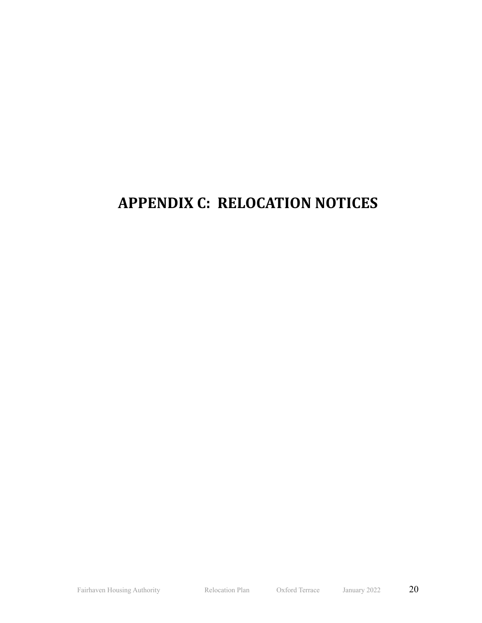# **APPENDIX C: RELOCATION NOTICES**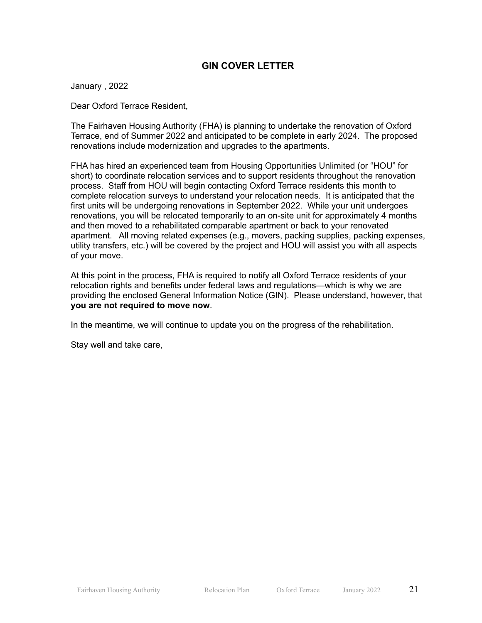#### **GIN COVER LETTER**

January , 2022

Dear Oxford Terrace Resident,

The Fairhaven Housing Authority (FHA) is planning to undertake the renovation of Oxford Terrace, end of Summer 2022 and anticipated to be complete in early 2024. The proposed renovations include modernization and upgrades to the apartments.

FHA has hired an experienced team from Housing Opportunities Unlimited (or "HOU" for short) to coordinate relocation services and to support residents throughout the renovation process. Staff from HOU will begin contacting Oxford Terrace residents this month to complete relocation surveys to understand your relocation needs. It is anticipated that the first units will be undergoing renovations in September 2022. While your unit undergoes renovations, you will be relocated temporarily to an on-site unit for approximately 4 months and then moved to a rehabilitated comparable apartment or back to your renovated apartment. All moving related expenses (e.g., movers, packing supplies, packing expenses, utility transfers, etc.) will be covered by the project and HOU will assist you with all aspects of your move.

At this point in the process, FHA is required to notify all Oxford Terrace residents of your relocation rights and benefits under federal laws and regulations—which is why we are providing the enclosed General Information Notice (GIN). Please understand, however, that **you are not required to move now**.

In the meantime, we will continue to update you on the progress of the rehabilitation.

Stay well and take care,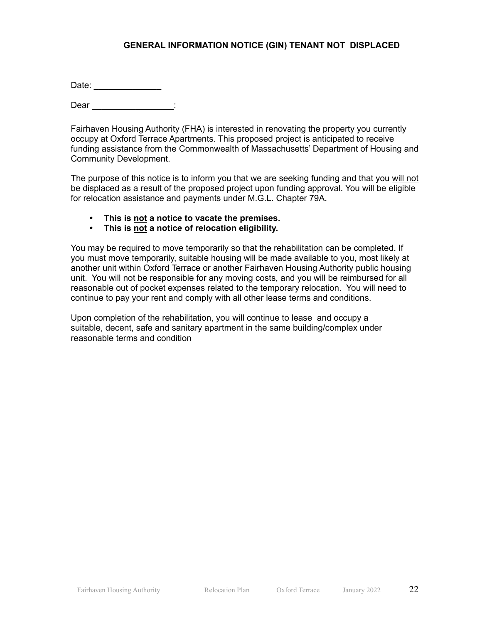#### **GENERAL INFORMATION NOTICE (GIN) TENANT NOT DISPLACED**

Date: \_\_\_\_\_\_\_\_\_\_\_\_\_\_

Dear \_\_\_\_\_\_\_\_\_\_\_\_\_\_\_\_\_\_:

Fairhaven Housing Authority (FHA) is interested in renovating the property you currently occupy at Oxford Terrace Apartments. This proposed project is anticipated to receive funding assistance from the Commonwealth of Massachusetts' Department of Housing and Community Development.

The purpose of this notice is to inform you that we are seeking funding and that you will not be displaced as a result of the proposed project upon funding approval. You will be eligible for relocation assistance and payments under M.G.L. Chapter 79A.

- **• This is not a notice to vacate the premises.**
- **• This is not a notice of relocation eligibility.**

You may be required to move temporarily so that the rehabilitation can be completed. If you must move temporarily, suitable housing will be made available to you, most likely at another unit within Oxford Terrace or another Fairhaven Housing Authority public housing unit. You will not be responsible for any moving costs, and you will be reimbursed for all reasonable out of pocket expenses related to the temporary relocation. You will need to continue to pay your rent and comply with all other lease terms and conditions.

Upon completion of the rehabilitation, you will continue to lease and occupy a suitable, decent, safe and sanitary apartment in the same building/complex under reasonable terms and condition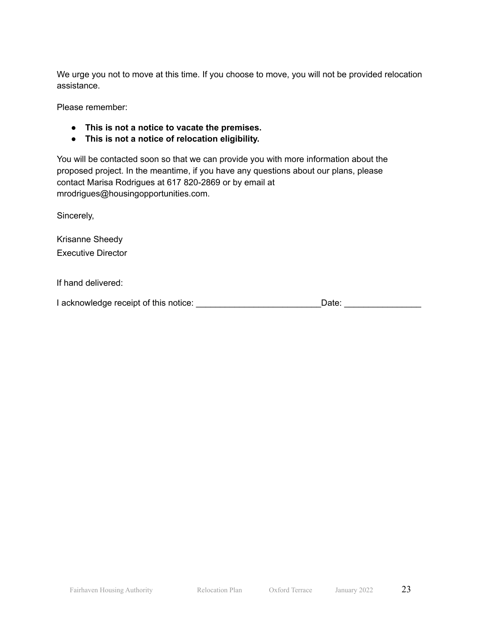We urge you not to move at this time. If you choose to move, you will not be provided relocation assistance.

Please remember:

- **● This is not a notice to vacate the premises.**
- **● This is not a notice of relocation eligibility.**

You will be contacted soon so that we can provide you with more information about the proposed project. In the meantime, if you have any questions about our plans, please contact Marisa Rodrigues at 617 820-2869 or by email at mrodrigues@housingopportunities.com.

Sincerely,

Krisanne Sheedy Executive Director

If hand delivered:

|  | I acknowledge receipt of this notice: | Date: |
|--|---------------------------------------|-------|
|--|---------------------------------------|-------|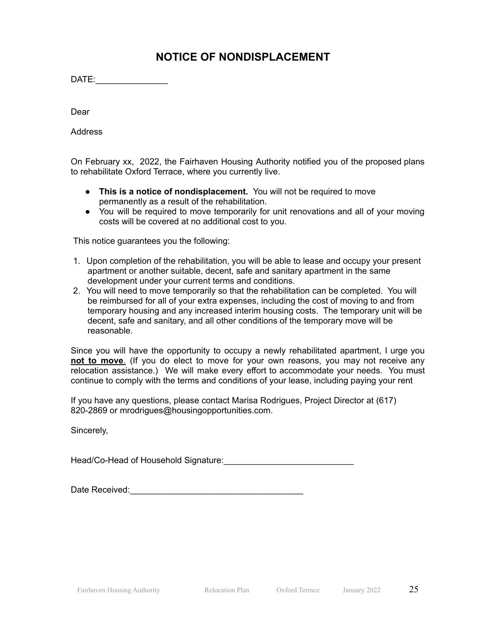### **NOTICE OF NONDISPLACEMENT**

DATE:\_\_\_\_\_\_\_\_\_\_\_\_\_\_\_

Dear

Address

On February xx, 2022, the Fairhaven Housing Authority notified you of the proposed plans to rehabilitate Oxford Terrace, where you currently live.

- **This is a notice of nondisplacement.** You will not be required to move permanently as a result of the rehabilitation.
- You will be required to move temporarily for unit renovations and all of your moving costs will be covered at no additional cost to you.

This notice guarantees you the following:

- 1. Upon completion of the rehabilitation, you will be able to lease and occupy your present apartment or another suitable, decent, safe and sanitary apartment in the same development under your current terms and conditions.
- 2. You will need to move temporarily so that the rehabilitation can be completed. You will be reimbursed for all of your extra expenses, including the cost of moving to and from temporary housing and any increased interim housing costs. The temporary unit will be decent, safe and sanitary, and all other conditions of the temporary move will be reasonable.

Since you will have the opportunity to occupy a newly rehabilitated apartment, I urge you **not to move**. (If you do elect to move for your own reasons, you may not receive any relocation assistance.) We will make every effort to accommodate your needs. You must continue to comply with the terms and conditions of your lease, including paying your rent

If you have any questions, please contact Marisa Rodrigues, Project Director at (617) 820-2869 or mrodrigues@housingopportunities.com.

Sincerely,

Head/Co-Head of Household Signature:\_\_\_\_\_\_\_\_\_\_\_\_\_\_\_\_\_\_\_\_\_\_\_\_\_\_\_

Date Received:\_\_\_\_\_\_\_\_\_\_\_\_\_\_\_\_\_\_\_\_\_\_\_\_\_\_\_\_\_\_\_\_\_\_\_\_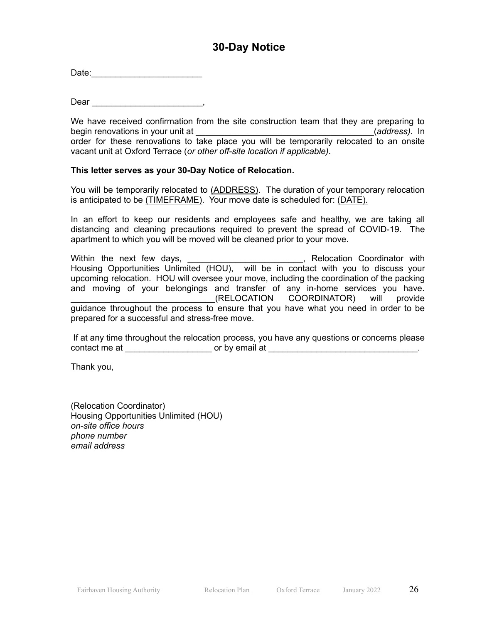### **30-Day Notice**

Date:\_\_\_\_\_\_\_\_\_\_\_\_\_\_\_\_\_\_\_\_\_\_\_

Dear \_\_\_\_\_\_\_\_\_\_\_\_\_\_\_\_\_\_\_\_\_\_\_\_\_\_\_\_\_\_\_\_,

We have received confirmation from the site construction team that they are preparing to begin renovations in your unit at \_\_\_\_\_\_\_\_\_\_\_\_\_\_\_\_\_\_\_\_\_\_\_\_\_\_\_\_\_\_\_\_\_\_\_\_\_(*address)*. In order for these renovations to take place you will be temporarily relocated to an onsite vacant unit at Oxford Terrace (*or other off-site location if applicable)*.

#### **This letter serves as your 30-Day Notice of Relocation.**

You will be temporarily relocated to (ADDRESS). The duration of your temporary relocation is anticipated to be (TIMEFRAME). Your move date is scheduled for: (DATE).

In an effort to keep our residents and employees safe and healthy, we are taking all distancing and cleaning precautions required to prevent the spread of COVID-19. The apartment to which you will be moved will be cleaned prior to your move.

Within the next few days, the state of the selection Coordinator with Housing Opportunities Unlimited (HOU), will be in contact with you to discuss your upcoming relocation. HOU will oversee your move, including the coordination of the packing and moving of your belongings and transfer of any in-home services you have. \_\_\_\_\_\_\_\_\_\_\_\_\_\_\_\_\_\_\_\_\_\_\_\_\_\_\_\_\_\_(RELOCATION COORDINATOR) will provide guidance throughout the process to ensure that you have what you need in order to be prepared for a successful and stress-free move.

If at any time throughout the relocation process, you have any questions or concerns please contact me at example at the contact me at  $\sim$  or by email at  $\sim$  .

Thank you,

(Relocation Coordinator) Housing Opportunities Unlimited (HOU) *on-site office hours phone number email address*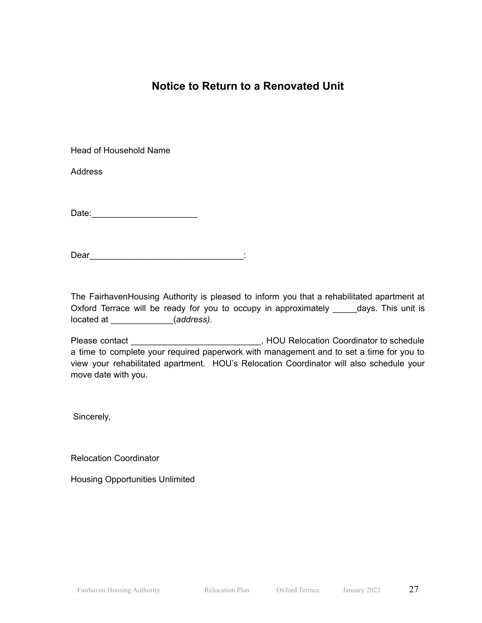### **Notice to Return to a Renovated Unit**

Head of Household Name

**Address** 

Date:\_\_\_\_\_\_\_\_\_\_\_\_\_\_\_\_\_\_\_\_\_\_

Dear\_\_\_\_\_\_\_\_\_\_\_\_\_\_\_\_\_\_\_\_\_\_\_\_\_\_\_\_\_\_\_\_:

The FairhavenHousing Authority is pleased to inform you that a rehabilitated apartment at Oxford Terrace will be ready for you to occupy in approximately \_\_\_\_\_days. This unit is located at \_\_\_\_\_\_\_\_\_\_\_\_\_(*address)*.

Please contact \_\_\_\_\_\_\_\_\_\_\_\_\_\_\_\_\_\_\_\_\_\_\_\_\_\_\_\_\_\_\_, HOU Relocation Coordinator to schedule a time to complete your required paperwork with management and to set a time for you to view your rehabilitated apartment. HOU's Relocation Coordinator will also schedule your move date with you.

Sincerely,

Relocation Coordinator

Housing Opportunities Unlimited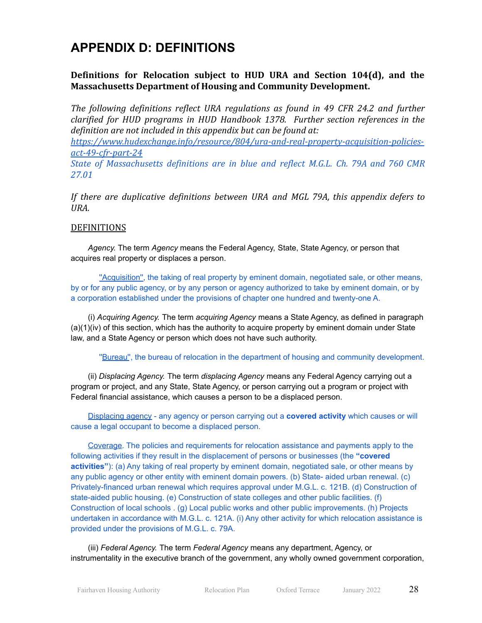### **APPENDIX D: DEFINITIONS**

#### **Definitions for Relocation subject to HUD URA and Section 104(d), and the Massachusetts Department of Housing and Community Development.**

*The following definitions reflect URA regulations as found in 49 CFR 24.2 and further clarified for HUD programs in HUD Handbook 1378. Further section references in the definition are not included in this appendix but can be found at:*

*https://www.hudexchange.info/resource/804/ura-and-real-property-acquisition-policiesact-49-cfr-part-24*

*State of Massachusetts definitions are in blue and reflect M.G.L. Ch. 79A and 760 CMR 27.01*

*If there are duplicative definitions between URA and MGL 79A, this appendix defers to URA.*

#### DEFINITIONS

*Agency.* The term *Agency* means the Federal Agency, State, State Agency, or person that acquires real property or displaces a person.

''Acquisition'', the taking of real property by eminent domain, negotiated sale, or other means, by or for any public agency, or by any person or agency authorized to take by eminent domain, or by a corporation established under the provisions of chapter one hundred and twenty-one A.

(i) *Acquiring Agency.* The term *acquiring Agency* means a State Agency, as defined in paragraph (a)(1)(iv) of this section, which has the authority to acquire property by eminent domain under State law, and a State Agency or person which does not have such authority.

''Bureau'', the bureau of relocation in the department of housing and community development.

(ii) *Displacing Agency.* The term *displacing Agency* means any Federal Agency carrying out a program or project, and any State, State Agency, or person carrying out a program or project with Federal financial assistance, which causes a person to be a displaced person.

Displacing agency - any agency or person carrying out a **covered activity** which causes or will cause a legal occupant to become a displaced person.

Coverage. The policies and requirements for relocation assistance and payments apply to the following activities if they result in the displacement of persons or businesses (the **"covered activities"**): (a) Any taking of real property by eminent domain, negotiated sale, or other means by any public agency or other entity with eminent domain powers. (b) State- aided urban renewal. (c) Privately-financed urban renewal which requires approval under M.G.L. c. 121B. (d) Construction of state-aided public housing. (e) Construction of state colleges and other public facilities. (f) Construction of local schools . (g) Local public works and other public improvements. (h) Projects undertaken in accordance with M.G.L. c. 121A. (i) Any other activity for which relocation assistance is provided under the provisions of M.G.L. c. 79A.

(iii) *Federal Agency.* The term *Federal Agency* means any department, Agency, or instrumentality in the executive branch of the government, any wholly owned government corporation,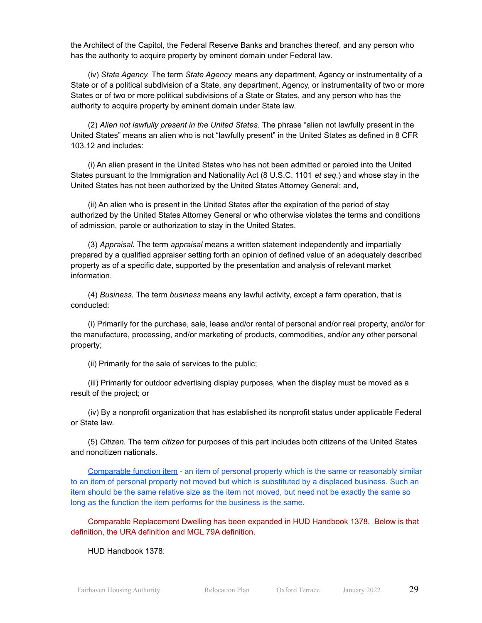the Architect of the Capitol, the Federal Reserve Banks and branches thereof, and any person who has the authority to acquire property by eminent domain under Federal law.

(iv) *State Agency.* The term *State Agency* means any department, Agency or instrumentality of a State or of a political subdivision of a State, any department, Agency, or instrumentality of two or more States or of two or more political subdivisions of a State or States, and any person who has the authority to acquire property by eminent domain under State law.

(2) *Alien not lawfully present in the United States.* The phrase "alien not lawfully present in the United States" means an alien who is not "lawfully present" in the United States as defined in 8 CFR 103.12 and includes:

(i) An alien present in the United States who has not been admitted or paroled into the United States pursuant to the Immigration and Nationality Act (8 U.S.C. 1101 *et seq.*) and whose stay in the United States has not been authorized by the United States Attorney General; and,

(ii) An alien who is present in the United States after the expiration of the period of stay authorized by the United States Attorney General or who otherwise violates the terms and conditions of admission, parole or authorization to stay in the United States.

(3) *Appraisal.* The term *appraisal* means a written statement independently and impartially prepared by a qualified appraiser setting forth an opinion of defined value of an adequately described property as of a specific date, supported by the presentation and analysis of relevant market information.

(4) *Business.* The term *business* means any lawful activity, except a farm operation, that is conducted:

(i) Primarily for the purchase, sale, lease and/or rental of personal and/or real property, and/or for the manufacture, processing, and/or marketing of products, commodities, and/or any other personal property;

(ii) Primarily for the sale of services to the public;

(iii) Primarily for outdoor advertising display purposes, when the display must be moved as a result of the project; or

(iv) By a nonprofit organization that has established its nonprofit status under applicable Federal or State law.

(5) *Citizen.* The term *citizen* for purposes of this part includes both citizens of the United States and noncitizen nationals.

Comparable function item - an item of personal property which is the same or reasonably similar to an item of personal property not moved but which is substituted by a displaced business. Such an item should be the same relative size as the item not moved, but need not be exactly the same so long as the function the item performs for the business is the same.

Comparable Replacement Dwelling has been expanded in HUD Handbook 1378. Below is that definition, the URA definition and MGL 79A definition.

HUD Handbook 1378: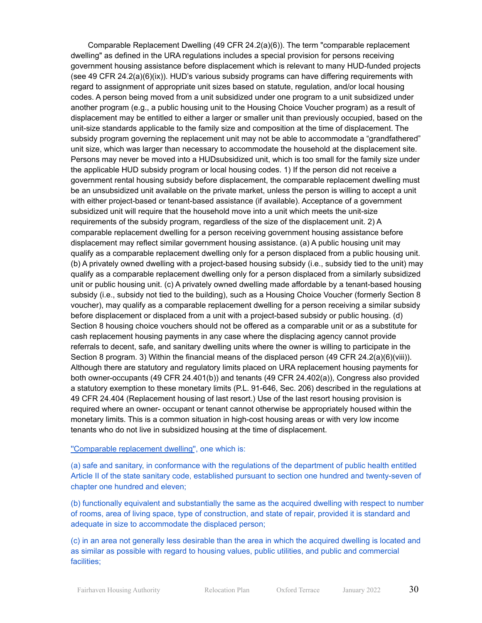Comparable Replacement Dwelling (49 CFR 24.2(a)(6)). The term "comparable replacement dwelling" as defined in the URA regulations includes a special provision for persons receiving government housing assistance before displacement which is relevant to many HUD-funded projects (see 49 CFR 24.2(a)(6)(ix)). HUD's various subsidy programs can have differing requirements with regard to assignment of appropriate unit sizes based on statute, regulation, and/or local housing codes. A person being moved from a unit subsidized under one program to a unit subsidized under another program (e.g., a public housing unit to the Housing Choice Voucher program) as a result of displacement may be entitled to either a larger or smaller unit than previously occupied, based on the unit-size standards applicable to the family size and composition at the time of displacement. The subsidy program governing the replacement unit may not be able to accommodate a "grandfathered" unit size, which was larger than necessary to accommodate the household at the displacement site. Persons may never be moved into a HUDsubsidized unit, which is too small for the family size under the applicable HUD subsidy program or local housing codes. 1) If the person did not receive a government rental housing subsidy before displacement, the comparable replacement dwelling must be an unsubsidized unit available on the private market, unless the person is willing to accept a unit with either project-based or tenant-based assistance (if available). Acceptance of a government subsidized unit will require that the household move into a unit which meets the unit-size requirements of the subsidy program, regardless of the size of the displacement unit. 2) A comparable replacement dwelling for a person receiving government housing assistance before displacement may reflect similar government housing assistance. (a) A public housing unit may qualify as a comparable replacement dwelling only for a person displaced from a public housing unit. (b) A privately owned dwelling with a project-based housing subsidy (i.e., subsidy tied to the unit) may qualify as a comparable replacement dwelling only for a person displaced from a similarly subsidized unit or public housing unit. (c) A privately owned dwelling made affordable by a tenant-based housing subsidy (i.e., subsidy not tied to the building), such as a Housing Choice Voucher (formerly Section 8 voucher), may qualify as a comparable replacement dwelling for a person receiving a similar subsidy before displacement or displaced from a unit with a project-based subsidy or public housing. (d) Section 8 housing choice vouchers should not be offered as a comparable unit or as a substitute for cash replacement housing payments in any case where the displacing agency cannot provide referrals to decent, safe, and sanitary dwelling units where the owner is willing to participate in the Section 8 program. 3) Within the financial means of the displaced person (49 CFR 24.2(a)(6)(viii)). Although there are statutory and regulatory limits placed on URA replacement housing payments for both owner-occupants (49 CFR 24.401(b)) and tenants (49 CFR 24.402(a)), Congress also provided a statutory exemption to these monetary limits (P.L. 91-646, Sec. 206) described in the regulations at 49 CFR 24.404 (Replacement housing of last resort.) Use of the last resort housing provision is required where an owner- occupant or tenant cannot otherwise be appropriately housed within the monetary limits. This is a common situation in high-cost housing areas or with very low income tenants who do not live in subsidized housing at the time of displacement.

#### "Comparable replacement dwelling", one which is:

(a) safe and sanitary, in conformance with the regulations of the department of public health entitled Article II of the state sanitary code, established pursuant to section one hundred and twenty-seven of chapter one hundred and eleven;

(b) functionally equivalent and substantially the same as the acquired dwelling with respect to number of rooms, area of living space, type of construction, and state of repair, provided it is standard and adequate in size to accommodate the displaced person;

(c) in an area not generally less desirable than the area in which the acquired dwelling is located and as similar as possible with regard to housing values, public utilities, and public and commercial facilities;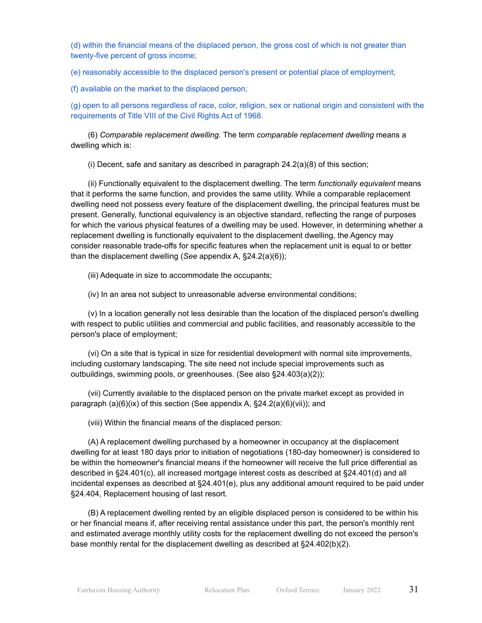(d) within the financial means of the displaced person, the gross cost of which is not greater than twenty-five percent of gross income;

(e) reasonably accessible to the displaced person's present or potential place of employment;

(f) available on the market to the displaced person;

(g) open to all persons regardless of race, color, religion, sex or national origin and consistent with the requirements of Title VIII of the Civil Rights Act of 1968.

(6) *Comparable replacement dwelling.* The term *comparable replacement dwelling* means a dwelling which is:

(i) Decent, safe and sanitary as described in paragraph  $24.2(a)(8)$  of this section;

(ii) Functionally equivalent to the displacement dwelling. The term *functionally equivalent* means that it performs the same function, and provides the same utility. While a comparable replacement dwelling need not possess every feature of the displacement dwelling, the principal features must be present. Generally, functional equivalency is an objective standard, reflecting the range of purposes for which the various physical features of a dwelling may be used. However, in determining whether a replacement dwelling is functionally equivalent to the displacement dwelling, the Agency may consider reasonable trade-offs for specific features when the replacement unit is equal to or better than the displacement dwelling (*See* appendix A, §24.2(a)(6));

(iii) Adequate in size to accommodate the occupants;

(iv) In an area not subject to unreasonable adverse environmental conditions;

(v) In a location generally not less desirable than the location of the displaced person's dwelling with respect to public utilities and commercial and public facilities, and reasonably accessible to the person's place of employment;

(vi) On a site that is typical in size for residential development with normal site improvements, including customary landscaping. The site need not include special improvements such as outbuildings, swimming pools, or greenhouses. (See also §24.403(a)(2));

(vii) Currently available to the displaced person on the private market except as provided in paragraph (a)(6)(ix) of this section (See appendix A, §24.2(a)(6)(vii)); and

(viii) Within the financial means of the displaced person:

(A) A replacement dwelling purchased by a homeowner in occupancy at the displacement dwelling for at least 180 days prior to initiation of negotiations (180-day homeowner) is considered to be within the homeowner's financial means if the homeowner will receive the full price differential as described in §24.401(c), all increased mortgage interest costs as described at §24.401(d) and all incidental expenses as described at §24.401(e), plus any additional amount required to be paid under §24.404, Replacement housing of last resort.

(B) A replacement dwelling rented by an eligible displaced person is considered to be within his or her financial means if, after receiving rental assistance under this part, the person's monthly rent and estimated average monthly utility costs for the replacement dwelling do not exceed the person's base monthly rental for the displacement dwelling as described at §24.402(b)(2).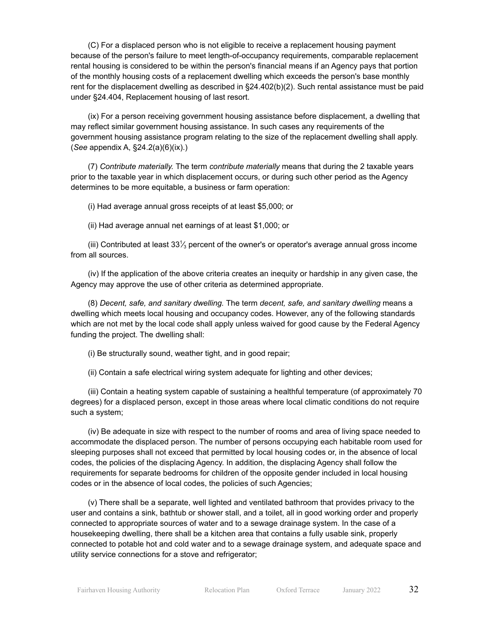(C) For a displaced person who is not eligible to receive a replacement housing payment because of the person's failure to meet length-of-occupancy requirements, comparable replacement rental housing is considered to be within the person's financial means if an Agency pays that portion of the monthly housing costs of a replacement dwelling which exceeds the person's base monthly rent for the displacement dwelling as described in §24.402(b)(2). Such rental assistance must be paid under §24.404, Replacement housing of last resort.

(ix) For a person receiving government housing assistance before displacement, a dwelling that may reflect similar government housing assistance. In such cases any requirements of the government housing assistance program relating to the size of the replacement dwelling shall apply. (*See* appendix A, §24.2(a)(6)(ix).)

(7) *Contribute materially.* The term *contribute materially* means that during the 2 taxable years prior to the taxable year in which displacement occurs, or during such other period as the Agency determines to be more equitable, a business or farm operation:

(i) Had average annual gross receipts of at least \$5,000; or

(ii) Had average annual net earnings of at least \$1,000; or

(iii) Contributed at least 33 $\frac{1}{3}$  percent of the owner's or operator's average annual gross income from all sources.

(iv) If the application of the above criteria creates an inequity or hardship in any given case, the Agency may approve the use of other criteria as determined appropriate.

(8) *Decent, safe, and sanitary dwelling.* The term *decent, safe, and sanitary dwelling* means a dwelling which meets local housing and occupancy codes. However, any of the following standards which are not met by the local code shall apply unless waived for good cause by the Federal Agency funding the project. The dwelling shall:

(i) Be structurally sound, weather tight, and in good repair;

(ii) Contain a safe electrical wiring system adequate for lighting and other devices;

(iii) Contain a heating system capable of sustaining a healthful temperature (of approximately 70 degrees) for a displaced person, except in those areas where local climatic conditions do not require such a system;

(iv) Be adequate in size with respect to the number of rooms and area of living space needed to accommodate the displaced person. The number of persons occupying each habitable room used for sleeping purposes shall not exceed that permitted by local housing codes or, in the absence of local codes, the policies of the displacing Agency. In addition, the displacing Agency shall follow the requirements for separate bedrooms for children of the opposite gender included in local housing codes or in the absence of local codes, the policies of such Agencies;

(v) There shall be a separate, well lighted and ventilated bathroom that provides privacy to the user and contains a sink, bathtub or shower stall, and a toilet, all in good working order and properly connected to appropriate sources of water and to a sewage drainage system. In the case of a housekeeping dwelling, there shall be a kitchen area that contains a fully usable sink, properly connected to potable hot and cold water and to a sewage drainage system, and adequate space and utility service connections for a stove and refrigerator;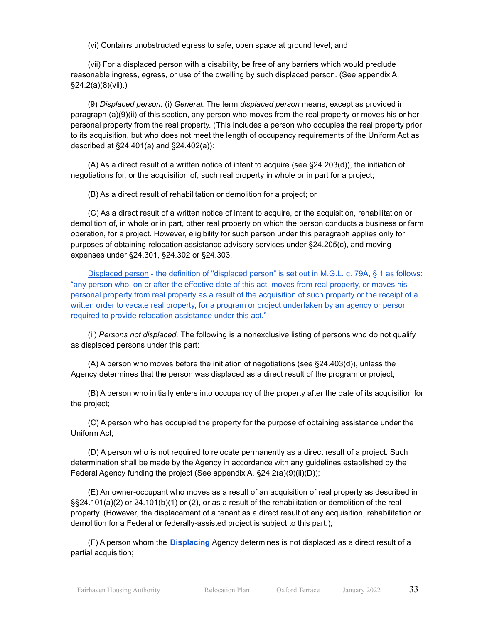(vi) Contains unobstructed egress to safe, open space at ground level; and

(vii) For a displaced person with a disability, be free of any barriers which would preclude reasonable ingress, egress, or use of the dwelling by such displaced person. (See appendix A, §24.2(a)(8)(vii).)

(9) *Displaced person.* (i) *General.* The term *displaced person* means, except as provided in paragraph (a)(9)(ii) of this section, any person who moves from the real property or moves his or her personal property from the real property. (This includes a person who occupies the real property prior to its acquisition, but who does not meet the length of occupancy requirements of the Uniform Act as described at §24.401(a) and §24.402(a)):

(A) As a direct result of a written notice of intent to acquire (see §24.203(d)), the initiation of negotiations for, or the acquisition of, such real property in whole or in part for a project;

(B) As a direct result of rehabilitation or demolition for a project; or

(C) As a direct result of a written notice of intent to acquire, or the acquisition, rehabilitation or demolition of, in whole or in part, other real property on which the person conducts a business or farm operation, for a project. However, eligibility for such person under this paragraph applies only for purposes of obtaining relocation assistance advisory services under §24.205(c), and moving expenses under §24.301, §24.302 or §24.303.

Displaced person - the definition of "displaced person" is set out in M.G.L. c. 79A, § 1 as follows: "any person who, on or after the effective date of this act, moves from real property, or moves his personal property from real property as a result of the acquisition of such property or the receipt of a written order to vacate real property, for a program or project undertaken by an agency or person required to provide relocation assistance under this act."

(ii) *Persons not displaced.* The following is a nonexclusive listing of persons who do not qualify as displaced persons under this part:

(A) A person who moves before the initiation of negotiations (see §24.403(d)), unless the Agency determines that the person was displaced as a direct result of the program or project;

(B) A person who initially enters into occupancy of the property after the date of its acquisition for the project;

(C) A person who has occupied the property for the purpose of obtaining assistance under the Uniform Act;

(D) A person who is not required to relocate permanently as a direct result of a project. Such determination shall be made by the Agency in accordance with any guidelines established by the Federal Agency funding the project (See appendix A, §24.2(a)(9)(ii)(D));

(E) An owner-occupant who moves as a result of an acquisition of real property as described in §§24.101(a)(2) or 24.101(b)(1) or (2), or as a result of the rehabilitation or demolition of the real property. (However, the displacement of a tenant as a direct result of any acquisition, rehabilitation or demolition for a Federal or federally-assisted project is subject to this part.);

(F) A person whom the **Displacing** Agency determines is not displaced as a direct result of a partial acquisition;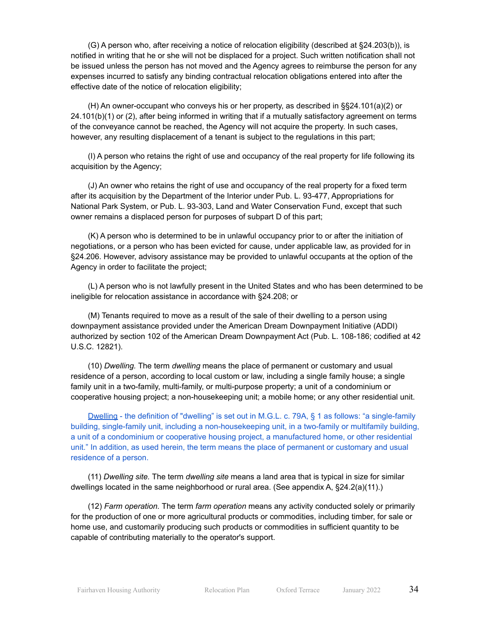(G) A person who, after receiving a notice of relocation eligibility (described at §24.203(b)), is notified in writing that he or she will not be displaced for a project. Such written notification shall not be issued unless the person has not moved and the Agency agrees to reimburse the person for any expenses incurred to satisfy any binding contractual relocation obligations entered into after the effective date of the notice of relocation eligibility;

(H) An owner-occupant who conveys his or her property, as described in §§24.101(a)(2) or 24.101(b)(1) or (2), after being informed in writing that if a mutually satisfactory agreement on terms of the conveyance cannot be reached, the Agency will not acquire the property. In such cases, however, any resulting displacement of a tenant is subject to the regulations in this part;

(I) A person who retains the right of use and occupancy of the real property for life following its acquisition by the Agency;

(J) An owner who retains the right of use and occupancy of the real property for a fixed term after its acquisition by the Department of the Interior under Pub. L. 93-477, Appropriations for National Park System, or Pub. L. 93-303, Land and Water Conservation Fund, except that such owner remains a displaced person for purposes of subpart D of this part;

(K) A person who is determined to be in unlawful occupancy prior to or after the initiation of negotiations, or a person who has been evicted for cause, under applicable law, as provided for in §24.206. However, advisory assistance may be provided to unlawful occupants at the option of the Agency in order to facilitate the project;

(L) A person who is not lawfully present in the United States and who has been determined to be ineligible for relocation assistance in accordance with §24.208; or

(M) Tenants required to move as a result of the sale of their dwelling to a person using downpayment assistance provided under the American Dream Downpayment Initiative (ADDI) authorized by section 102 of the American Dream Downpayment Act (Pub. L. 108-186; codified at 42 U.S.C. 12821).

(10) *Dwelling.* The term *dwelling* means the place of permanent or customary and usual residence of a person, according to local custom or law, including a single family house; a single family unit in a two-family, multi-family, or multi-purpose property; a unit of a condominium or cooperative housing project; a non-housekeeping unit; a mobile home; or any other residential unit.

Dwelling - the definition of "dwelling" is set out in M.G.L. c. 79A, § 1 as follows: "a single-family building, single-family unit, including a non-housekeeping unit, in a two-family or multifamily building, a unit of a condominium or cooperative housing project, a manufactured home, or other residential unit." In addition, as used herein, the term means the place of permanent or customary and usual residence of a person.

(11) *Dwelling site.* The term *dwelling site* means a land area that is typical in size for similar dwellings located in the same neighborhood or rural area. (See appendix A, §24.2(a)(11).)

(12) *Farm operation.* The term *farm operation* means any activity conducted solely or primarily for the production of one or more agricultural products or commodities, including timber, for sale or home use, and customarily producing such products or commodities in sufficient quantity to be capable of contributing materially to the operator's support.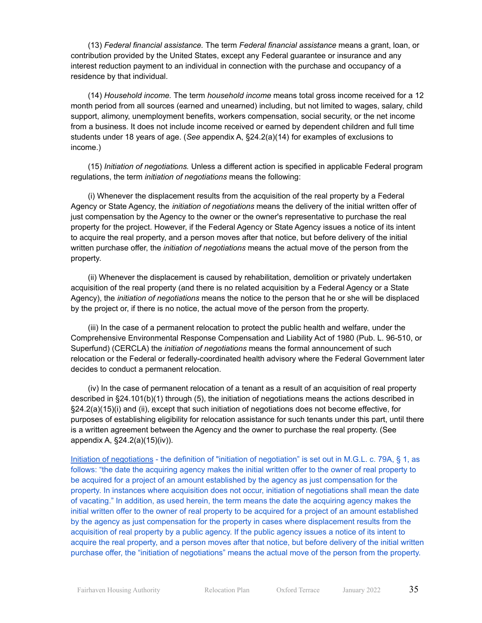(13) *Federal financial assistance.* The term *Federal financial assistance* means a grant, loan, or contribution provided by the United States, except any Federal guarantee or insurance and any interest reduction payment to an individual in connection with the purchase and occupancy of a residence by that individual.

(14) *Household income.* The term *household income* means total gross income received for a 12 month period from all sources (earned and unearned) including, but not limited to wages, salary, child support, alimony, unemployment benefits, workers compensation, social security, or the net income from a business. It does not include income received or earned by dependent children and full time students under 18 years of age. (*See* appendix A, §24.2(a)(14) for examples of exclusions to income.)

(15) *Initiation of negotiations.* Unless a different action is specified in applicable Federal program regulations, the term *initiation of negotiations* means the following:

(i) Whenever the displacement results from the acquisition of the real property by a Federal Agency or State Agency, the *initiation of negotiations* means the delivery of the initial written offer of just compensation by the Agency to the owner or the owner's representative to purchase the real property for the project. However, if the Federal Agency or State Agency issues a notice of its intent to acquire the real property, and a person moves after that notice, but before delivery of the initial written purchase offer, the *initiation of negotiations* means the actual move of the person from the property.

(ii) Whenever the displacement is caused by rehabilitation, demolition or privately undertaken acquisition of the real property (and there is no related acquisition by a Federal Agency or a State Agency), the *initiation of negotiations* means the notice to the person that he or she will be displaced by the project or, if there is no notice, the actual move of the person from the property.

(iii) In the case of a permanent relocation to protect the public health and welfare, under the Comprehensive Environmental Response Compensation and Liability Act of 1980 (Pub. L. 96-510, or Superfund) (CERCLA) the *initiation of negotiations* means the formal announcement of such relocation or the Federal or federally-coordinated health advisory where the Federal Government later decides to conduct a permanent relocation.

(iv) In the case of permanent relocation of a tenant as a result of an acquisition of real property described in §24.101(b)(1) through (5), the initiation of negotiations means the actions described in §24.2(a)(15)(i) and (ii), except that such initiation of negotiations does not become effective, for purposes of establishing eligibility for relocation assistance for such tenants under this part, until there is a written agreement between the Agency and the owner to purchase the real property. (See appendix A, §24.2(a)(15)(iv)).

Initiation of negotiations - the definition of "initiation of negotiation" is set out in M.G.L. c. 79A, § 1, as follows: "the date the acquiring agency makes the initial written offer to the owner of real property to be acquired for a project of an amount established by the agency as just compensation for the property. In instances where acquisition does not occur, initiation of negotiations shall mean the date of vacating." In addition, as used herein, the term means the date the acquiring agency makes the initial written offer to the owner of real property to be acquired for a project of an amount established by the agency as just compensation for the property in cases where displacement results from the acquisition of real property by a public agency. If the public agency issues a notice of its intent to acquire the real property, and a person moves after that notice, but before delivery of the initial written purchase offer, the "initiation of negotiations" means the actual move of the person from the property.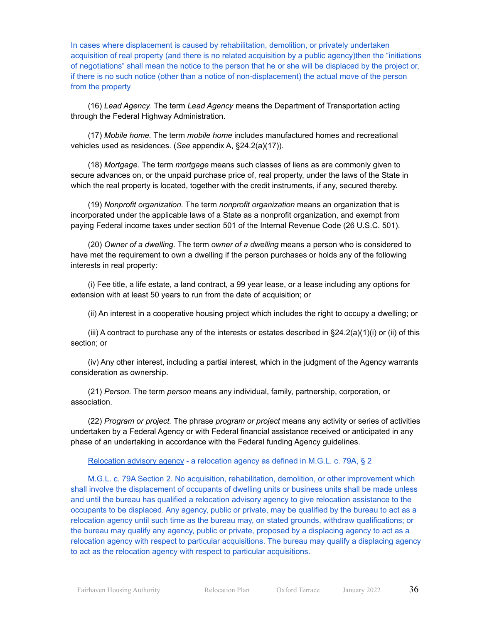In cases where displacement is caused by rehabilitation, demolition, or privately undertaken acquisition of real property (and there is no related acquisition by a public agency)then the "initiations of negotiations" shall mean the notice to the person that he or she will be displaced by the project or, if there is no such notice (other than a notice of non-displacement) the actual move of the person from the property

(16) *Lead Agency.* The term *Lead Agency* means the Department of Transportation acting through the Federal Highway Administration.

(17) *Mobile home.* The term *mobile home* includes manufactured homes and recreational vehicles used as residences. (*See* appendix A, §24.2(a)(17)).

(18) *Mortgage.* The term *mortgage* means such classes of liens as are commonly given to secure advances on, or the unpaid purchase price of, real property, under the laws of the State in which the real property is located, together with the credit instruments, if any, secured thereby.

(19) *Nonprofit organization.* The term *nonprofit organization* means an organization that is incorporated under the applicable laws of a State as a nonprofit organization, and exempt from paying Federal income taxes under section 501 of the Internal Revenue Code (26 U.S.C. 501).

(20) *Owner of a dwelling.* The term *owner of a dwelling* means a person who is considered to have met the requirement to own a dwelling if the person purchases or holds any of the following interests in real property:

(i) Fee title, a life estate, a land contract, a 99 year lease, or a lease including any options for extension with at least 50 years to run from the date of acquisition; or

(ii) An interest in a cooperative housing project which includes the right to occupy a dwelling; or

(iii) A contract to purchase any of the interests or estates described in §24.2(a)(1)(i) or (ii) of this section; or

(iv) Any other interest, including a partial interest, which in the judgment of the Agency warrants consideration as ownership.

(21) *Person.* The term *person* means any individual, family, partnership, corporation, or association.

(22) *Program or project.* The phrase *program or project* means any activity or series of activities undertaken by a Federal Agency or with Federal financial assistance received or anticipated in any phase of an undertaking in accordance with the Federal funding Agency guidelines.

#### Relocation advisory agency - a relocation agency as defined in M.G.L. c. 79A, § 2

M.G.L. c. 79A Section 2. No acquisition, rehabilitation, demolition, or other improvement which shall involve the displacement of occupants of dwelling units or business units shall be made unless and until the bureau has qualified a relocation advisory agency to give relocation assistance to the occupants to be displaced. Any agency, public or private, may be qualified by the bureau to act as a relocation agency until such time as the bureau may, on stated grounds, withdraw qualifications; or the bureau may qualify any agency, public or private, proposed by a displacing agency to act as a relocation agency with respect to particular acquisitions. The bureau may qualify a displacing agency to act as the relocation agency with respect to particular acquisitions.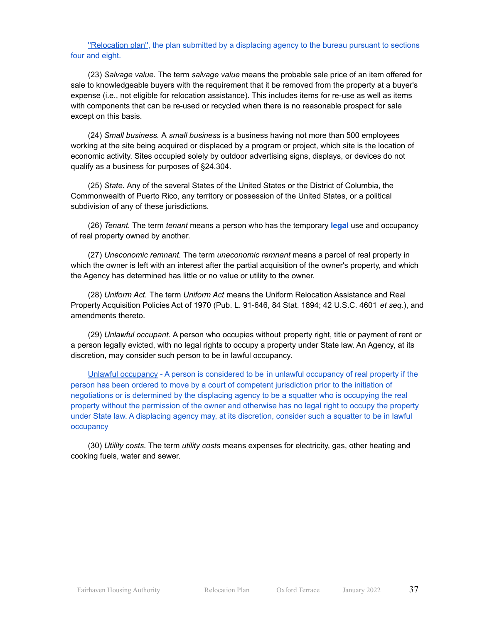#### "Relocation plan", the plan submitted by a displacing agency to the bureau pursuant to sections four and eight.

(23) *Salvage value.* The term *salvage value* means the probable sale price of an item offered for sale to knowledgeable buyers with the requirement that it be removed from the property at a buyer's expense (i.e., not eligible for relocation assistance). This includes items for re-use as well as items with components that can be re-used or recycled when there is no reasonable prospect for sale except on this basis.

(24) *Small business.* A *small business* is a business having not more than 500 employees working at the site being acquired or displaced by a program or project, which site is the location of economic activity. Sites occupied solely by outdoor advertising signs, displays, or devices do not qualify as a business for purposes of §24.304.

(25) *State.* Any of the several States of the United States or the District of Columbia, the Commonwealth of Puerto Rico, any territory or possession of the United States, or a political subdivision of any of these jurisdictions.

(26) *Tenant.* The term *tenant* means a person who has the temporary **legal** use and occupancy of real property owned by another.

(27) *Uneconomic remnant.* The term *uneconomic remnant* means a parcel of real property in which the owner is left with an interest after the partial acquisition of the owner's property, and which the Agency has determined has little or no value or utility to the owner.

(28) *Uniform Act.* The term *Uniform Act* means the Uniform Relocation Assistance and Real Property Acquisition Policies Act of 1970 (Pub. L. 91-646, 84 Stat. 1894; 42 U.S.C. 4601 *et seq.*), and amendments thereto.

(29) *Unlawful occupant.* A person who occupies without property right, title or payment of rent or a person legally evicted, with no legal rights to occupy a property under State law. An Agency, at its discretion, may consider such person to be in lawful occupancy.

Unlawful occupancy - A person is considered to be in unlawful occupancy of real property if the person has been ordered to move by a court of competent jurisdiction prior to the initiation of negotiations or is determined by the displacing agency to be a squatter who is occupying the real property without the permission of the owner and otherwise has no legal right to occupy the property under State law. A displacing agency may, at its discretion, consider such a squatter to be in lawful **occupancy** 

(30) *Utility costs.* The term *utility costs* means expenses for electricity, gas, other heating and cooking fuels, water and sewer.